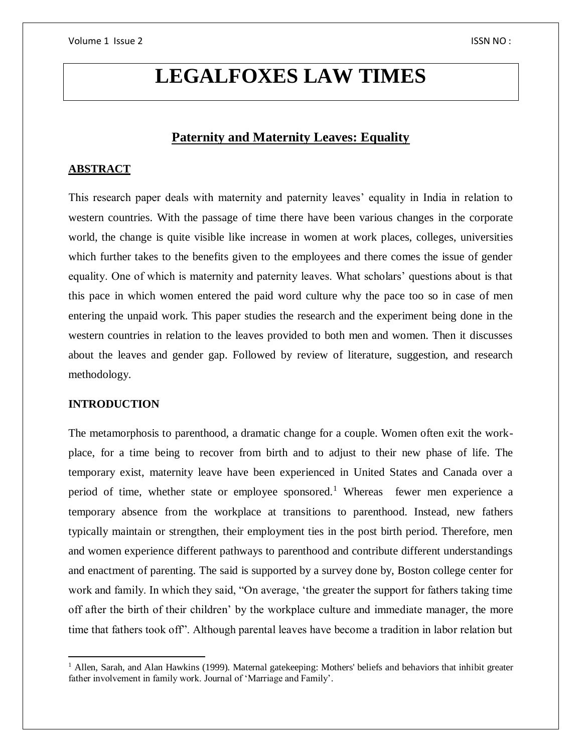# **LEGALFOXES LAW TIMES**

## **Paternity and Maternity Leaves: Equality**

## **ABSTRACT**

This research paper deals with maternity and paternity leaves' equality in India in relation to western countries. With the passage of time there have been various changes in the corporate world, the change is quite visible like increase in women at work places, colleges, universities which further takes to the benefits given to the employees and there comes the issue of gender equality. One of which is maternity and paternity leaves. What scholars' questions about is that this pace in which women entered the paid word culture why the pace too so in case of men entering the unpaid work. This paper studies the research and the experiment being done in the western countries in relation to the leaves provided to both men and women. Then it discusses about the leaves and gender gap. Followed by review of literature, suggestion, and research methodology.

## **INTRODUCTION**

 $\overline{\phantom{a}}$ 

The metamorphosis to parenthood, a dramatic change for a couple. Women often exit the workplace, for a time being to recover from birth and to adjust to their new phase of life. The temporary exist, maternity leave have been experienced in United States and Canada over a period of time, whether state or employee sponsored.<sup>1</sup> Whereas fewer men experience a temporary absence from the workplace at transitions to parenthood. Instead, new fathers typically maintain or strengthen, their employment ties in the post birth period. Therefore, men and women experience different pathways to parenthood and contribute different understandings and enactment of parenting. The said is supported by a survey done by, Boston college center for work and family. In which they said, "On average, 'the greater the support for fathers taking time off after the birth of their children' by the workplace culture and immediate manager, the more time that fathers took off". Although parental leaves have become a tradition in labor relation but

<sup>&</sup>lt;sup>1</sup> Allen, Sarah, and Alan Hawkins (1999). Maternal gatekeeping: Mothers' beliefs and behaviors that inhibit greater father involvement in family work. Journal of 'Marriage and Family'.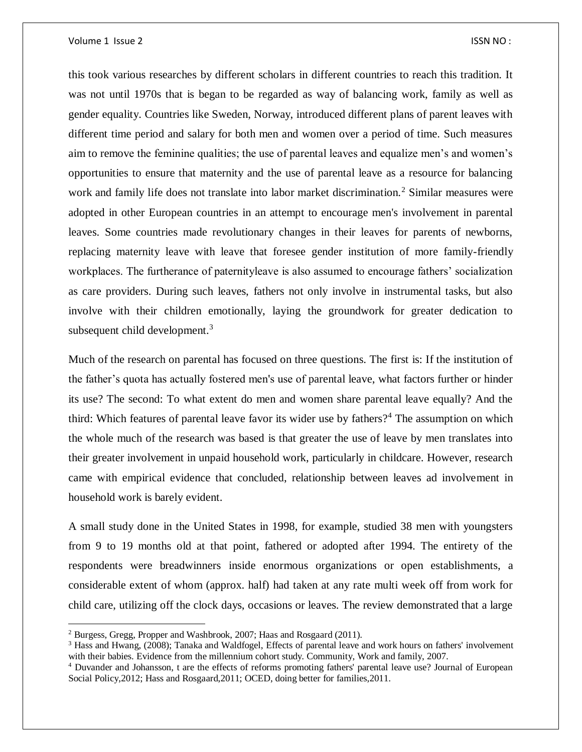this took various researches by different scholars in different countries to reach this tradition. It was not until 1970s that is began to be regarded as way of balancing work, family as well as gender equality. Countries like Sweden, Norway, introduced different plans of parent leaves with different time period and salary for both men and women over a period of time. Such measures aim to remove the feminine qualities; the use of parental leaves and equalize men's and women's opportunities to ensure that maternity and the use of parental leave as a resource for balancing work and family life does not translate into labor market discrimination.<sup>2</sup> Similar measures were adopted in other European countries in an attempt to encourage men's involvement in parental leaves. Some countries made revolutionary changes in their leaves for parents of newborns, replacing maternity leave with leave that foresee gender institution of more family-friendly workplaces. The furtherance of paternityleave is also assumed to encourage fathers' socialization as care providers. During such leaves, fathers not only involve in instrumental tasks, but also involve with their children emotionally, laying the groundwork for greater dedication to subsequent child development. $3$ 

Much of the research on parental has focused on three questions. The first is: If the institution of the father's quota has actually fostered men's use of parental leave, what factors further or hinder its use? The second: To what extent do men and women share parental leave equally? And the third: Which features of parental leave favor its wider use by fathers?<sup>4</sup> The assumption on which the whole much of the research was based is that greater the use of leave by men translates into their greater involvement in unpaid household work, particularly in childcare. However, research came with empirical evidence that concluded, relationship between leaves ad involvement in household work is barely evident.

A small study done in the United States in 1998, for example, studied 38 men with youngsters from 9 to 19 months old at that point, fathered or adopted after 1994. The entirety of the respondents were breadwinners inside enormous organizations or open establishments, a considerable extent of whom (approx. half) had taken at any rate multi week off from work for child care, utilizing off the clock days, occasions or leaves. The review demonstrated that a large

 $\overline{\phantom{a}}$ 

<sup>2</sup> Burgess, Gregg, Propper and Washbrook, 2007; Haas and Rosgaard (2011).

<sup>&</sup>lt;sup>3</sup> Hass and Hwang, (2008); Tanaka and Waldfogel, Effects of parental leave and work hours on fathers' involvement with their babies. Evidence from the millennium cohort study. Community, Work and family, 2007.

<sup>4</sup> Duvander and Johansson, t are the effects of reforms promoting fathers' parental leave use? Journal of European Social Policy,2012; Hass and Rosgaard,2011; OCED, doing better for families,2011.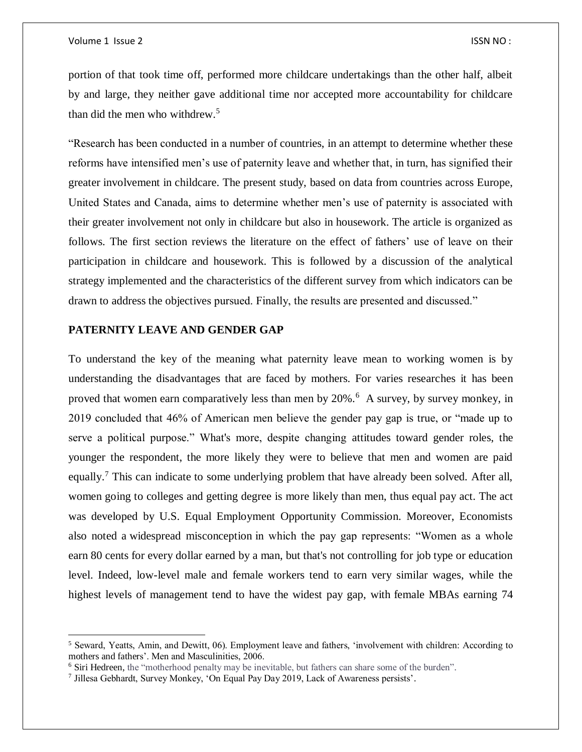$\overline{a}$ 

portion of that took time off, performed more childcare undertakings than the other half, albeit by and large, they neither gave additional time nor accepted more accountability for childcare than did the men who withdrew.<sup>5</sup>

"Research has been conducted in a number of countries, in an attempt to determine whether these reforms have intensified men's use of paternity leave and whether that, in turn, has signified their greater involvement in childcare. The present study, based on data from countries across Europe, United States and Canada, aims to determine whether men's use of paternity is associated with their greater involvement not only in childcare but also in housework. The article is organized as follows. The first section reviews the literature on the effect of fathers' use of leave on their participation in childcare and housework. This is followed by a discussion of the analytical strategy implemented and the characteristics of the different survey from which indicators can be drawn to address the objectives pursued. Finally, the results are presented and discussed."

## **PATERNITY LEAVE AND GENDER GAP**

To understand the key of the meaning what paternity leave mean to working women is by understanding the disadvantages that are faced by mothers. For varies researches it has been proved that women earn comparatively less than men by 20%.<sup>6</sup> A survey, by survey monkey, in 2019 concluded that 46% of American men believe the gender pay gap is true, or "made up to serve a political purpose." What's more, despite changing attitudes toward gender roles, the younger the respondent, the more likely they were to believe that men and women are paid equally.<sup>7</sup> This can indicate to some underlying problem that have already been solved. After all, women going to colleges and getting degree is more likely than men, thus equal pay act. The act was developed by U.S. Equal Employment Opportunity Commission. Moreover, Economists also noted a widespread misconception in which the pay gap represents: "Women as a whole earn 80 cents for every dollar earned by a man, but that's not controlling for job type or education level. Indeed, low-level male and female workers tend to earn very similar wages, while the highest levels of management tend to have the widest pay gap, with female MBAs earning 74

<sup>5</sup> Seward, Yeatts, Amin, and Dewitt, 06). Employment leave and fathers, 'involvement with children: According to mothers and fathers'. Men and Masculinities, 2006.

<sup>6</sup> Siri Hedreen, the "motherhood penalty may be inevitable, but fathers can share some of the burden".

<sup>7</sup> Jillesa Gebhardt, Survey Monkey, 'On Equal Pay Day 2019, Lack of Awareness persists'.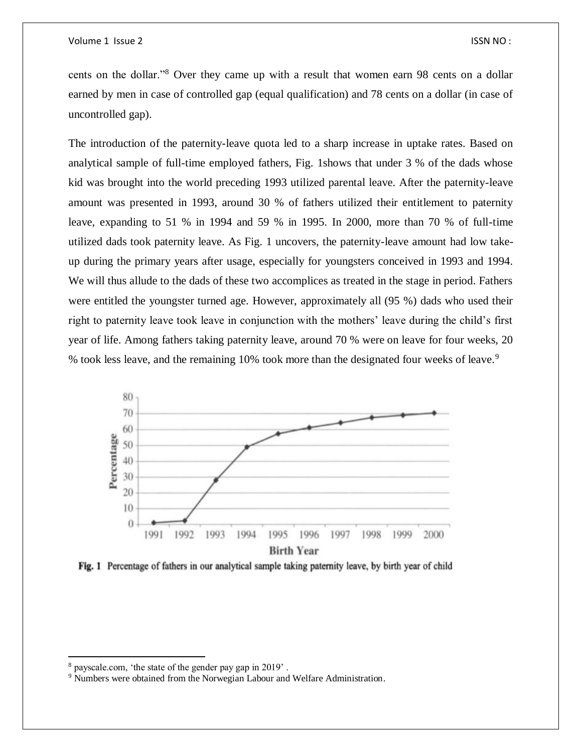cents on the dollar."<sup>8</sup> Over they came up with a result that women earn 98 cents on a dollar earned by men in case of controlled gap (equal qualification) and 78 cents on a dollar (in case of uncontrolled gap).

The introduction of the paternity-leave quota led to a sharp increase in uptake rates. Based on analytical sample of full-time employed fathers, Fig. 1shows that under 3 % of the dads whose kid was brought into the world preceding 1993 utilized parental leave. After the paternity-leave amount was presented in 1993, around 30 % of fathers utilized their entitlement to paternity leave, expanding to 51 % in 1994 and 59 % in 1995. In 2000, more than 70 % of full-time utilized dads took paternity leave. As Fig. 1 uncovers, the paternity-leave amount had low takeup during the primary years after usage, especially for youngsters conceived in 1993 and 1994. We will thus allude to the dads of these two accomplices as treated in the stage in period. Fathers were entitled the youngster turned age. However, approximately all (95 %) dads who used their right to paternity leave took leave in conjunction with the mothers' leave during the child's first year of life. Among fathers taking paternity leave, around 70 % were on leave for four weeks, 20 % took less leave, and the remaining 10% took more than the designated four weeks of leave.<sup>9</sup>



Fig. 1 Percentage of fathers in our analytical sample taking paternity leave, by birth year of child

 $\overline{\phantom{a}}$ 

<sup>8</sup> payscale.com, 'the state of the gender pay gap in 2019' .

<sup>&</sup>lt;sup>9</sup> Numbers were obtained from the Norwegian Labour and Welfare Administration.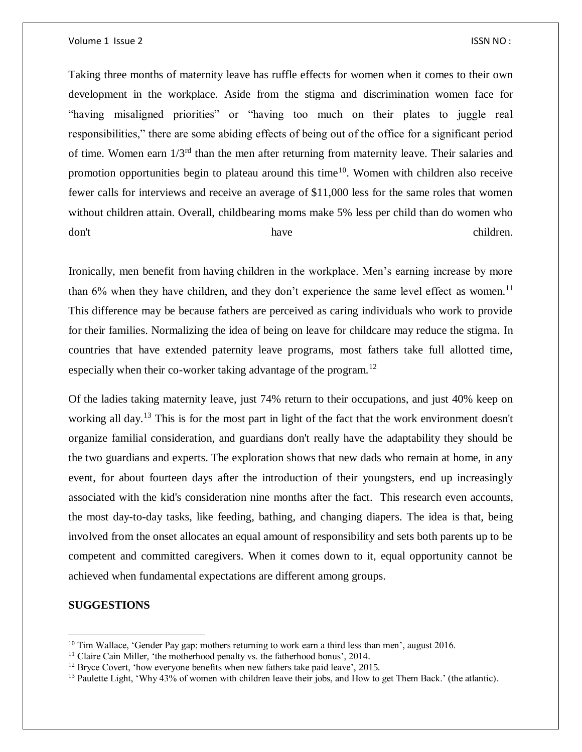Taking three months of maternity leave has ruffle effects for women when it comes to their own development in the workplace. Aside from the stigma and discrimination women face for "having misaligned priorities" or "having too much on their plates to juggle real responsibilities," there are some abiding effects of being out of the office for a significant period of time. Women earn 1/3rd than the men after returning from maternity leave. Their salaries and promotion opportunities begin to plateau around this time<sup>10</sup>. Women with children also receive fewer calls for interviews and receive an average of \$11,000 less for the same roles that women without children attain. Overall, childbearing moms make 5% less per child than do women who don't have have children.

Ironically, men benefit from having children in the workplace. Men's earning increase by more than 6% when they have children, and they don't experience the same level effect as women.<sup>11</sup> This difference may be because fathers are perceived as caring individuals who work to provide for their families. Normalizing the idea of being on leave for childcare may reduce the stigma. In countries that have extended paternity leave programs, most fathers take full allotted time, especially when their co-worker taking advantage of the program.<sup>12</sup>

Of the ladies taking maternity leave, just 74% return to their occupations, and just 40% keep on working all day.<sup>13</sup> This is for the most part in light of the fact that the work environment doesn't organize familial consideration, and guardians don't really have the adaptability they should be the two guardians and experts. The exploration shows that new dads who remain at home, in any event, for about fourteen days after the introduction of their youngsters, end up increasingly associated with the kid's consideration nine months after the fact. This research even accounts, the most day-to-day tasks, like feeding, bathing, and changing diapers. The idea is that, being involved from the onset allocates an equal amount of responsibility and sets both parents up to be competent and committed caregivers. When it comes down to it, equal opportunity cannot be achieved when fundamental expectations are different among groups.

### **SUGGESTIONS**

 $\overline{a}$ 

 $10$  Tim Wallace, 'Gender Pay gap: mothers returning to work earn a third less than men', august 2016.

 $11$  Claire Cain Miller, 'the motherhood penalty vs. the fatherhood bonus', 2014.

<sup>&</sup>lt;sup>12</sup> Bryce Covert, 'how everyone benefits when new fathers take paid leave', 2015.

<sup>&</sup>lt;sup>13</sup> Paulette Light, 'Why 43% of women with children leave their jobs, and How to get Them Back.' (the atlantic).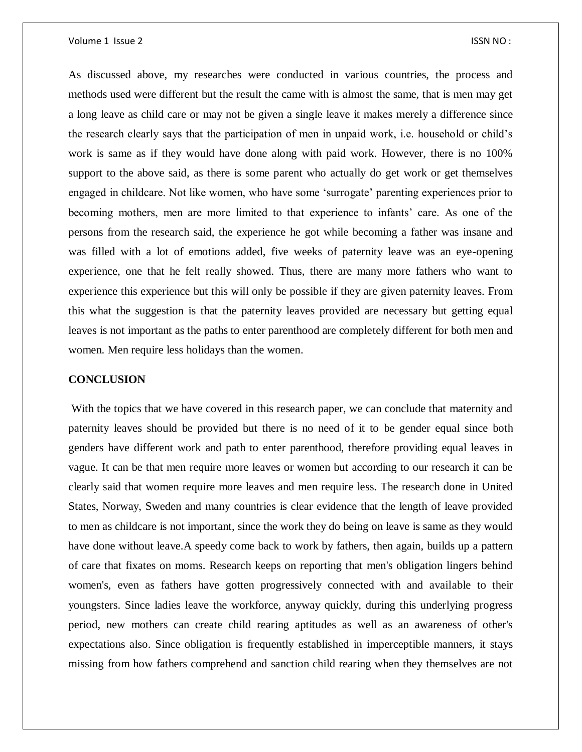As discussed above, my researches were conducted in various countries, the process and methods used were different but the result the came with is almost the same, that is men may get a long leave as child care or may not be given a single leave it makes merely a difference since the research clearly says that the participation of men in unpaid work, i.e. household or child's work is same as if they would have done along with paid work. However, there is no 100% support to the above said, as there is some parent who actually do get work or get themselves engaged in childcare. Not like women, who have some 'surrogate' parenting experiences prior to becoming mothers, men are more limited to that experience to infants' care. As one of the persons from the research said, the experience he got while becoming a father was insane and was filled with a lot of emotions added, five weeks of paternity leave was an eye-opening experience, one that he felt really showed. Thus, there are many more fathers who want to experience this experience but this will only be possible if they are given paternity leaves. From this what the suggestion is that the paternity leaves provided are necessary but getting equal leaves is not important as the paths to enter parenthood are completely different for both men and women. Men require less holidays than the women.

#### **CONCLUSION**

With the topics that we have covered in this research paper, we can conclude that maternity and paternity leaves should be provided but there is no need of it to be gender equal since both genders have different work and path to enter parenthood, therefore providing equal leaves in vague. It can be that men require more leaves or women but according to our research it can be clearly said that women require more leaves and men require less. The research done in United States, Norway, Sweden and many countries is clear evidence that the length of leave provided to men as childcare is not important, since the work they do being on leave is same as they would have done without leave.A speedy come back to work by fathers, then again, builds up a pattern of care that fixates on moms. Research keeps on reporting that men's obligation lingers behind women's, even as fathers have gotten progressively connected with and available to their youngsters. Since ladies leave the workforce, anyway quickly, during this underlying progress period, new mothers can create child rearing aptitudes as well as an awareness of other's expectations also. Since obligation is frequently established in imperceptible manners, it stays missing from how fathers comprehend and sanction child rearing when they themselves are not